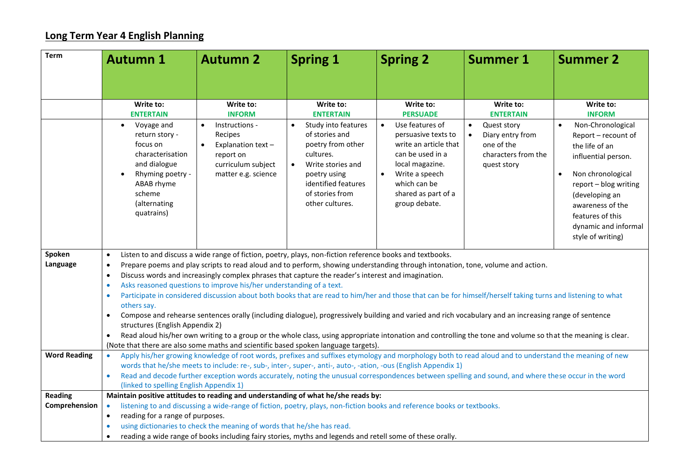## **Long Term Year 4 English Planning**

| <b>Term</b>                     | <b>Autumn 1</b>                                                                                                                                                                                                                                                                                                                                                                                                                                                                                                                                                                                                                                                                                                                                                                                                                               | <b>Autumn 2</b>                                                                                                                                                  | <b>Spring 1</b>                                                                                                                                                                                                         | <b>Spring 2</b>                                                                                                                                                                                                                            | <b>Summer 1</b>                                                                                                                   | <b>Summer 2</b>                                                                                                                                                                                                                                              |
|---------------------------------|-----------------------------------------------------------------------------------------------------------------------------------------------------------------------------------------------------------------------------------------------------------------------------------------------------------------------------------------------------------------------------------------------------------------------------------------------------------------------------------------------------------------------------------------------------------------------------------------------------------------------------------------------------------------------------------------------------------------------------------------------------------------------------------------------------------------------------------------------|------------------------------------------------------------------------------------------------------------------------------------------------------------------|-------------------------------------------------------------------------------------------------------------------------------------------------------------------------------------------------------------------------|--------------------------------------------------------------------------------------------------------------------------------------------------------------------------------------------------------------------------------------------|-----------------------------------------------------------------------------------------------------------------------------------|--------------------------------------------------------------------------------------------------------------------------------------------------------------------------------------------------------------------------------------------------------------|
|                                 |                                                                                                                                                                                                                                                                                                                                                                                                                                                                                                                                                                                                                                                                                                                                                                                                                                               |                                                                                                                                                                  |                                                                                                                                                                                                                         |                                                                                                                                                                                                                                            |                                                                                                                                   |                                                                                                                                                                                                                                                              |
|                                 |                                                                                                                                                                                                                                                                                                                                                                                                                                                                                                                                                                                                                                                                                                                                                                                                                                               |                                                                                                                                                                  |                                                                                                                                                                                                                         |                                                                                                                                                                                                                                            |                                                                                                                                   |                                                                                                                                                                                                                                                              |
|                                 | Write to:<br><b>ENTERTAIN</b><br>Voyage and<br>$\bullet$<br>return story -<br>focus on<br>characterisation<br>and dialogue<br>Rhyming poetry -<br>ABAB rhyme<br>scheme<br>(alternating<br>quatrains)                                                                                                                                                                                                                                                                                                                                                                                                                                                                                                                                                                                                                                          | Write to:<br><b>INFORM</b><br>Instructions -<br>$\bullet$<br>Recipes<br>Explanation text-<br>$\bullet$<br>report on<br>curriculum subject<br>matter e.g. science | Write to:<br><b>ENTERTAIN</b><br>Study into features<br>$\bullet$<br>of stories and<br>poetry from other<br>cultures.<br>Write stories and<br>poetry using<br>identified features<br>of stories from<br>other cultures. | Write to:<br><b>PERSUADE</b><br>Use features of<br>$\bullet$<br>persuasive texts to<br>write an article that<br>can be used in a<br>local magazine.<br>Write a speech<br>$\bullet$<br>which can be<br>shared as part of a<br>group debate. | Write to:<br><b>ENTERTAIN</b><br>Quest story<br>$\bullet$<br>Diary entry from<br>one of the<br>characters from the<br>quest story | Write to:<br><b>INFORM</b><br>Non-Chronological<br>$\bullet$<br>Report - recount of<br>the life of an<br>influential person.<br>Non chronological<br>report - blog writing<br>(developing an<br>awareness of the<br>features of this<br>dynamic and informal |
|                                 |                                                                                                                                                                                                                                                                                                                                                                                                                                                                                                                                                                                                                                                                                                                                                                                                                                               |                                                                                                                                                                  |                                                                                                                                                                                                                         |                                                                                                                                                                                                                                            |                                                                                                                                   | style of writing)                                                                                                                                                                                                                                            |
| Spoken<br>Language              | Listen to and discuss a wide range of fiction, poetry, plays, non-fiction reference books and textbooks.<br>$\bullet$<br>Prepare poems and play scripts to read aloud and to perform, showing understanding through intonation, tone, volume and action.<br>$\bullet$<br>Discuss words and increasingly complex phrases that capture the reader's interest and imagination.<br>$\bullet$<br>Asks reasoned questions to improve his/her understanding of a text.<br>$\bullet$<br>Participate in considered discussion about both books that are read to him/her and those that can be for himself/herself taking turns and listening to what<br>$\bullet$<br>others say.<br>Compose and rehearse sentences orally (including dialogue), progressively building and varied and rich vocabulary and an increasing range of sentence<br>$\bullet$ |                                                                                                                                                                  |                                                                                                                                                                                                                         |                                                                                                                                                                                                                                            |                                                                                                                                   |                                                                                                                                                                                                                                                              |
|                                 | structures (English Appendix 2)<br>Read aloud his/her own writing to a group or the whole class, using appropriate intonation and controlling the tone and volume so that the meaning is clear.<br>$\bullet$<br>(Note that there are also some maths and scientific based spoken language targets).                                                                                                                                                                                                                                                                                                                                                                                                                                                                                                                                           |                                                                                                                                                                  |                                                                                                                                                                                                                         |                                                                                                                                                                                                                                            |                                                                                                                                   |                                                                                                                                                                                                                                                              |
| <b>Word Reading</b>             | Apply his/her growing knowledge of root words, prefixes and suffixes etymology and morphology both to read aloud and to understand the meaning of new<br>$\bullet$<br>words that he/she meets to include: re-, sub-, inter-, super-, anti-, auto-, -ation, -ous (English Appendix 1)<br>Read and decode further exception words accurately, noting the unusual correspondences between spelling and sound, and where these occur in the word<br>$\bullet$<br>(linked to spelling English Appendix 1)                                                                                                                                                                                                                                                                                                                                          |                                                                                                                                                                  |                                                                                                                                                                                                                         |                                                                                                                                                                                                                                            |                                                                                                                                   |                                                                                                                                                                                                                                                              |
| <b>Reading</b><br>Comprehension | Maintain positive attitudes to reading and understanding of what he/she reads by:<br>listening to and discussing a wide-range of fiction, poetry, plays, non-fiction books and reference books or textbooks.<br>$\bullet$<br>reading for a range of purposes.<br>$\bullet$<br>using dictionaries to check the meaning of words that he/she has read.<br>$\bullet$                                                                                                                                                                                                                                                                                                                                                                                                                                                                             |                                                                                                                                                                  |                                                                                                                                                                                                                         |                                                                                                                                                                                                                                            |                                                                                                                                   |                                                                                                                                                                                                                                                              |
|                                 | $\bullet$                                                                                                                                                                                                                                                                                                                                                                                                                                                                                                                                                                                                                                                                                                                                                                                                                                     | reading a wide range of books including fairy stories, myths and legends and retell some of these orally.                                                        |                                                                                                                                                                                                                         |                                                                                                                                                                                                                                            |                                                                                                                                   |                                                                                                                                                                                                                                                              |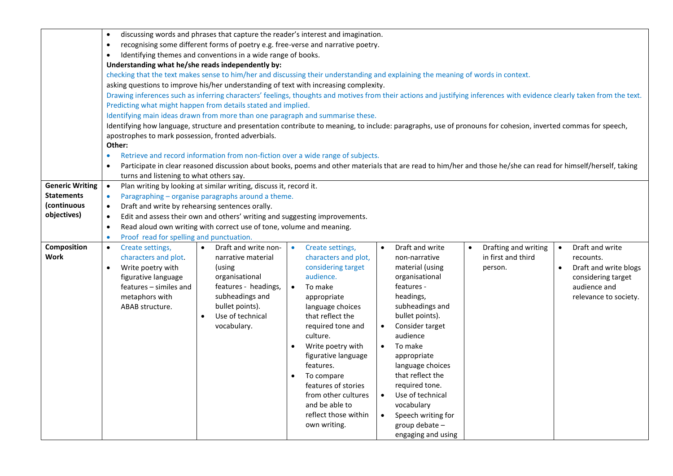|                        | discussing words and phrases that capture the reader's interest and imagination.<br>$\bullet$                                                                           |                                                                    |                                                                                                                                                                |                                          |                      |                                    |
|------------------------|-------------------------------------------------------------------------------------------------------------------------------------------------------------------------|--------------------------------------------------------------------|----------------------------------------------------------------------------------------------------------------------------------------------------------------|------------------------------------------|----------------------|------------------------------------|
|                        | recognising some different forms of poetry e.g. free-verse and narrative poetry.<br>$\bullet$                                                                           |                                                                    |                                                                                                                                                                |                                          |                      |                                    |
|                        | Identifying themes and conventions in a wide range of books.<br>$\bullet$                                                                                               |                                                                    |                                                                                                                                                                |                                          |                      |                                    |
|                        | Understanding what he/she reads independently by:                                                                                                                       |                                                                    |                                                                                                                                                                |                                          |                      |                                    |
|                        | checking that the text makes sense to him/her and discussing their understanding and explaining the meaning of words in context.                                        |                                                                    |                                                                                                                                                                |                                          |                      |                                    |
|                        | asking questions to improve his/her understanding of text with increasing complexity.                                                                                   |                                                                    |                                                                                                                                                                |                                          |                      |                                    |
|                        | Drawing inferences such as inferring characters' feelings, thoughts and motives from their actions and justifying inferences with evidence clearly taken from the text. |                                                                    |                                                                                                                                                                |                                          |                      |                                    |
|                        | Predicting what might happen from details stated and implied.                                                                                                           |                                                                    |                                                                                                                                                                |                                          |                      |                                    |
|                        | Identifying main ideas drawn from more than one paragraph and summarise these.                                                                                          |                                                                    |                                                                                                                                                                |                                          |                      |                                    |
|                        | Identifying how language, structure and presentation contribute to meaning, to include: paragraphs, use of pronouns for cohesion, inverted commas for speech,           |                                                                    |                                                                                                                                                                |                                          |                      |                                    |
|                        | apostrophes to mark possession, fronted adverbials.                                                                                                                     |                                                                    |                                                                                                                                                                |                                          |                      |                                    |
|                        | Other:                                                                                                                                                                  |                                                                    |                                                                                                                                                                |                                          |                      |                                    |
|                        | $\bullet$                                                                                                                                                               |                                                                    | Retrieve and record information from non-fiction over a wide range of subjects.                                                                                |                                          |                      |                                    |
|                        | $\bullet$                                                                                                                                                               |                                                                    | Participate in clear reasoned discussion about books, poems and other materials that are read to him/her and those he/she can read for himself/herself, taking |                                          |                      |                                    |
|                        | turns and listening to what others say.                                                                                                                                 |                                                                    |                                                                                                                                                                |                                          |                      |                                    |
| <b>Generic Writing</b> | $\bullet$                                                                                                                                                               | Plan writing by looking at similar writing, discuss it, record it. |                                                                                                                                                                |                                          |                      |                                    |
| <b>Statements</b>      | Paragraphing - organise paragraphs around a theme.<br>$\bullet$                                                                                                         |                                                                    |                                                                                                                                                                |                                          |                      |                                    |
| (continuous            | $\bullet$                                                                                                                                                               | Draft and write by rehearsing sentences orally.                    |                                                                                                                                                                |                                          |                      |                                    |
| objectives)            | Edit and assess their own and others' writing and suggesting improvements.<br>$\bullet$                                                                                 |                                                                    |                                                                                                                                                                |                                          |                      |                                    |
|                        | Read aloud own writing with correct use of tone, volume and meaning.<br>$\bullet$                                                                                       |                                                                    |                                                                                                                                                                |                                          |                      |                                    |
|                        | Proof read for spelling and punctuation.<br>$\bullet$                                                                                                                   |                                                                    |                                                                                                                                                                |                                          |                      |                                    |
| Composition            | Create settings,<br>$\bullet$                                                                                                                                           | Draft and write non-<br>$\bullet$                                  | Create settings,<br>$\bullet$                                                                                                                                  | Draft and write<br>$\bullet$             | Drafting and writing | Draft and write<br>$\bullet$       |
| Work                   | characters and plot.                                                                                                                                                    | narrative material                                                 | characters and plot,                                                                                                                                           | non-narrative                            | in first and third   | recounts.                          |
|                        | Write poetry with<br>$\bullet$                                                                                                                                          | (using                                                             | considering target                                                                                                                                             | material (using                          | person.              | Draft and write blogs<br>$\bullet$ |
|                        | figurative language                                                                                                                                                     | organisational                                                     | audience.                                                                                                                                                      | organisational                           |                      | considering target                 |
|                        | features – similes and                                                                                                                                                  | features - headings,                                               | $\bullet$<br>To make                                                                                                                                           | features -                               |                      | audience and                       |
|                        | metaphors with                                                                                                                                                          | subheadings and                                                    | appropriate                                                                                                                                                    | headings,                                |                      | relevance to society.              |
|                        | ABAB structure.                                                                                                                                                         | bullet points).                                                    | language choices                                                                                                                                               | subheadings and                          |                      |                                    |
|                        |                                                                                                                                                                         | Use of technical<br>$\bullet$                                      | that reflect the                                                                                                                                               | bullet points).                          |                      |                                    |
|                        |                                                                                                                                                                         | vocabulary.                                                        | required tone and<br>culture.                                                                                                                                  | Consider target<br>$\bullet$<br>audience |                      |                                    |
|                        |                                                                                                                                                                         |                                                                    | Write poetry with                                                                                                                                              | To make<br>$\bullet$                     |                      |                                    |
|                        |                                                                                                                                                                         |                                                                    | figurative language                                                                                                                                            |                                          |                      |                                    |
|                        |                                                                                                                                                                         |                                                                    | features.                                                                                                                                                      | appropriate<br>language choices          |                      |                                    |
|                        |                                                                                                                                                                         |                                                                    | To compare<br>$\bullet$                                                                                                                                        | that reflect the                         |                      |                                    |
|                        |                                                                                                                                                                         |                                                                    | features of stories                                                                                                                                            | required tone.                           |                      |                                    |
|                        |                                                                                                                                                                         |                                                                    | from other cultures                                                                                                                                            | Use of technical<br>$\bullet$            |                      |                                    |
|                        |                                                                                                                                                                         |                                                                    | and be able to                                                                                                                                                 | vocabulary                               |                      |                                    |
|                        |                                                                                                                                                                         |                                                                    | reflect those within                                                                                                                                           | Speech writing for<br>$\bullet$          |                      |                                    |
|                        |                                                                                                                                                                         |                                                                    | own writing.                                                                                                                                                   | group debate -                           |                      |                                    |
|                        |                                                                                                                                                                         |                                                                    |                                                                                                                                                                | engaging and using                       |                      |                                    |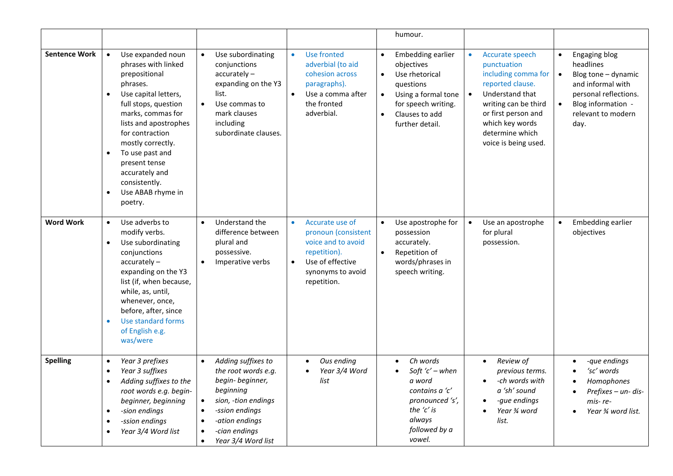|                      |                                                                                                                                                                                                                                                                                                                                                           |                                                                                                                                                                                                                         |                                                                                                                                                   | humour.                                                                                                                                                                                  |                                                                                                                                                                                                                  |                                                                                                                                                                  |
|----------------------|-----------------------------------------------------------------------------------------------------------------------------------------------------------------------------------------------------------------------------------------------------------------------------------------------------------------------------------------------------------|-------------------------------------------------------------------------------------------------------------------------------------------------------------------------------------------------------------------------|---------------------------------------------------------------------------------------------------------------------------------------------------|------------------------------------------------------------------------------------------------------------------------------------------------------------------------------------------|------------------------------------------------------------------------------------------------------------------------------------------------------------------------------------------------------------------|------------------------------------------------------------------------------------------------------------------------------------------------------------------|
| <b>Sentence Work</b> | Use expanded noun<br>phrases with linked<br>prepositional<br>phrases.<br>Use capital letters,<br>$\bullet$<br>full stops, question<br>marks, commas for<br>lists and apostrophes<br>for contraction<br>mostly correctly.<br>To use past and<br>$\bullet$<br>present tense<br>accurately and<br>consistently.<br>Use ABAB rhyme in<br>$\bullet$<br>poetry. | Use subordinating<br>$\bullet$<br>conjunctions<br>$accuracy -$<br>expanding on the Y3<br>list.<br>Use commas to<br>$\bullet$<br>mark clauses<br>including<br>subordinate clauses.                                       | Use fronted<br>$\bullet$<br>adverbial (to aid<br>cohesion across<br>paragraphs).<br>Use a comma after<br>the fronted<br>adverbial.                | Embedding earlier<br>$\bullet$<br>objectives<br>Use rhetorical<br>questions<br>Using a formal tone<br>$\bullet$<br>for speech writing.<br>Clauses to add<br>$\bullet$<br>further detail. | <b>Accurate speech</b><br>punctuation<br>including comma for<br>reported clause.<br>Understand that<br>writing can be third<br>or first person and<br>which key words<br>determine which<br>voice is being used. | Engaging blog<br>$\bullet$<br>headlines<br>Blog tone - dynamic<br>and informal with<br>personal reflections.<br>Blog information -<br>relevant to modern<br>day. |
| <b>Word Work</b>     | Use adverbs to<br>$\bullet$<br>modify verbs.<br>Use subordinating<br>$\bullet$<br>conjunctions<br>$accurately -$<br>expanding on the Y3<br>list (if, when because,<br>while, as, until,<br>whenever, once,<br>before, after, since<br>Use standard forms<br>$\bullet$<br>of English e.g.<br>was/were                                                      | Understand the<br>$\bullet$<br>difference between<br>plural and<br>possessive.<br>Imperative verbs<br>$\bullet$                                                                                                         | Accurate use of<br>$\bullet$<br>pronoun (consistent<br>voice and to avoid<br>repetition).<br>Use of effective<br>synonyms to avoid<br>repetition. | Use apostrophe for<br>possession<br>accurately.<br>Repetition of<br>words/phrases in<br>speech writing.                                                                                  | Use an apostrophe<br>for plural<br>possession.                                                                                                                                                                   | Embedding earlier<br>objectives                                                                                                                                  |
| <b>Spelling</b>      | Year 3 prefixes<br>$\bullet$<br>Year 3 suffixes<br>$\bullet$<br>Adding suffixes to the<br>root words e.g. begin-<br>beginner, beginning<br>-sion endings<br>$\bullet$<br>-ssion endings<br>$\bullet$<br>Year 3/4 Word list<br>$\bullet$                                                                                                                   | Adding suffixes to<br>$\bullet$<br>the root words e.g.<br>begin-beginner,<br>beginning<br>sion, -tion endings<br>$\bullet$<br>-ssion endings<br>٠<br>-ation endings<br>-cian endings<br>Year 3/4 Word list<br>$\bullet$ | Ous ending<br>$\bullet$<br>Year 3/4 Word<br>list                                                                                                  | Ch words<br>Soft ' $c'$ – when<br>a word<br>contains a 'c'<br>pronounced 's',<br>the 'c' is<br>always<br>followed by a<br>vowel.                                                         | Review of<br>$\bullet$<br>previous terms.<br>-ch words with<br>$\bullet$<br>a 'sh' sound<br>-que endings<br>Year 3⁄4 word<br>list.                                                                               | -que endings<br>'sc' words<br>Homophones<br>Prefixes - un- dis-<br>mis-re-<br>Year 3⁄4 word list.<br>$\bullet$                                                   |